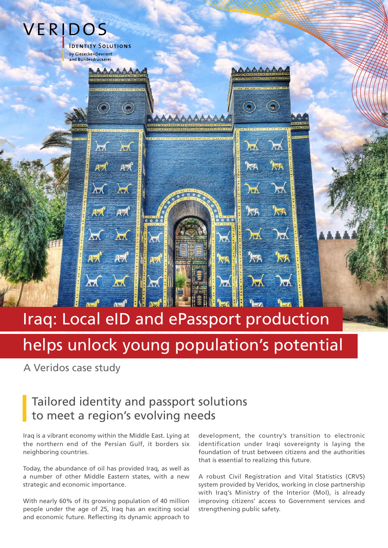

# Iraq: Local eID and ePassport production

# helps unlock young population's potential

A Veridos case study

### Tailored identity and passport solutions to meet a region's evolving needs

Iraq is a vibrant economy within the Middle East. Lying at the northern end of the Persian Gulf, it borders six neighboring countries.

Today, the abundance of oil has provided Iraq, as well as a number of other Middle Eastern states, with a new strategic and economic importance.

With nearly 60% of its growing population of 40 million people under the age of 25, Iraq has an exciting social and economic future. Reflecting its dynamic approach to

development, the country's transition to electronic identification under Iraqi sovereignty is laving the foundation of trust between citizens and the authorities that is essential to realizing this future.

A robust Civil Registration and Vital Statistics (CRVS) system provided by Veridos, working in close partnership with Iraq's Ministry of the Interior (MoI), is already improving citizens' access to Government services and strengthening public safety.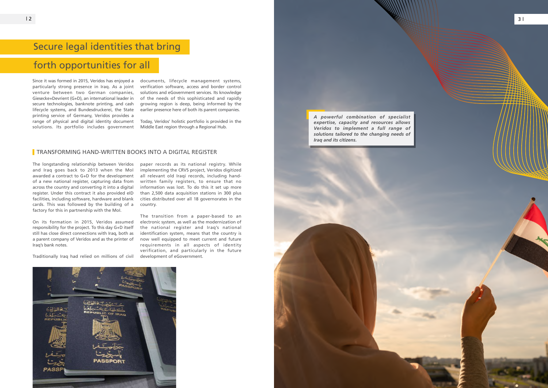### Secure legal identities that bring

### forth opportunities for all

The longstanding relationship between Veridos and Iraq goes back to 2013 when the MoI awarded a contract to G+D for the development of a new national register, capturing data from across the country and converting it into a digital register. Under this contract it also provided eID facilities, including software, hardware and blank cards. This was followed by the building of a factory for this in partnership with the MoI.

On its formation in 2015, Veridos assumed responsibility for the project. To this day G+D itself still has close direct connections with Iraq, both as a parent company of Veridos and as the printer of Iraq's bank notes.

Traditionally Iraq had relied on millions of civil

paper records as its national registry. While implementing the CRVS project, Veridos digitized all relevant old Iraqi records, including handwritten family registers, to ensure that no information was lost. To do this it set up more than 2,500 data acquisition stations in 300 plus cities distributed over all 18 governorates in the country.





The transition from a paper-based to an electronic system, as well as the modernization of the national register and Iraq's national identification system, means that the country is now well equipped to meet current and future requirements in all aspects of identity verification, and particularly in the future development of eGovernment.



Since it was formed in 2015, Veridos has enjoyed a particularly strong presence in Iraq. As a joint venture between two German companies, Giesecke+Devrient (G+D), an international leader in secure technologies, banknote printing, and cash lifecycle systems, and Bundesdruckerei, the State printing service of Germany, Veridos provides a range of physical and digital identity document solutions. Its portfolio includes government

documents, lifecycle management systems, verification software, access and border control solutions and eGovernment services. Its knowledge of the needs of this sophisticated and rapidly growing region is deep, being informed by the earlier presence here of both its parent companies.

Today, Veridos' holistic portfolio is provided in the Middle East region through a Regional Hub.

#### **TRANSFORMING HAND-WRITTEN BOOKS INTO A DIGITAL REGISTER**

*Iraq and its citizens.*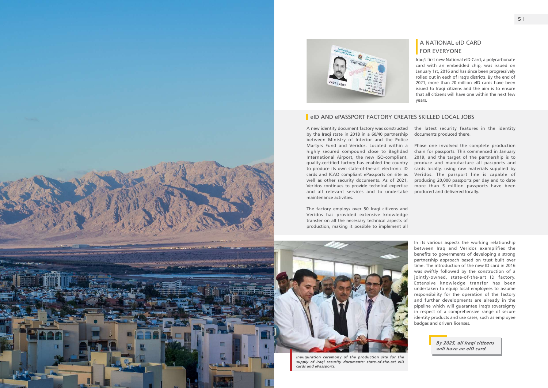#### A NATIONAL eID CARD **FOR EVERYONE**

Iraq's first new National eID Card, a polycarbonate card with an embedded chip, was issued on January 1st, 2016 and has since been progressively rolled out in each of Iraq's districts. By the end of 2021, more than 20 million eID cards have been issued to Iraqi citizens and the aim is to ensure that all citizens will have one within the next few years.





#### eID AND ePASSPORT FACTORY CREATES SKILLED LOCAL JOBS

A new identity document factory was constructed by the Iraqi state in 2018 in a 60/40 partnership between Ministry of Interior and the Police Martyrs Fund and Veridos. Located within a highly secured compound close to Baghdad International Airport, the new ISO-compliant, quality-certified factory has enabled the country to produce its own state-of-the-art electronic ID cards and ICAO compliant ePassports on site as well as other security documents. As of 2021, Veridos continues to provide technical expertise and all relevant services and to undertake maintenance activities.

The factory employs over 50 Iraqi citizens and Veridos has provided extensive knowledge transfer on all the necessary technical aspects of production, making it possible to implement all

the latest security features in the identity documents produced there.

Phase one involved the complete production chain for passports. This commenced in January 2019, and the target of the partnership is to produce and manufacture all passports and cards locally, using raw materials supplied by Veridos. The passport line is capable of producing 20,000 passports per day and to date more than 5 million passports have been produced and delivered locally.

In its various aspects the working relationship between Iraq and Veridos exemplifies the benefits to governments of developing a strong partnership approach based on trust built over time. The introduction of the new ID card in 2016 was swiftly followed by the construction of a jointly-owned, state-of-the-art ID factory. Extensive knowledge transfer has been undertaken to equip local employees to assume responsibility for the operation of the factory and further developments are already in the pipeline which will guarantee Iraq's sovereignty in respect of a comprehensive range of secure identity products and use cases, such as employee badges and drivers licenses.



*Inauguration ceremony of the production site for the supply of Iraqi security documents: state-of-the-art eID cards and ePassports.*

*By 2025, all Iraqi citizens will have an eID card.*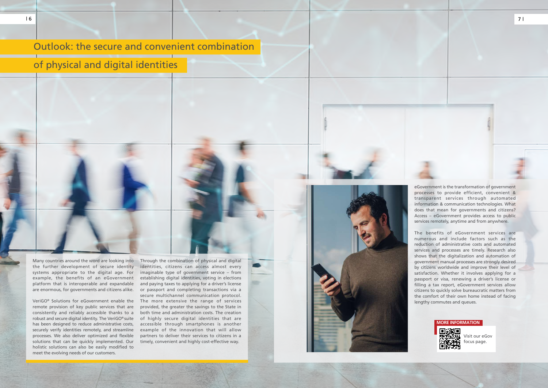## Outlook: the secure and convenient combination

### of physical and digital identities

eGovernment is the transformation of government processes to provide efficient, convenient & transparent services through automated information & communication technologies. What does that mean for governments and citizens? Access – eGovernment provides access to public services remotely, anytime and from anywhere.

The benefits of eGovernment services are numerous and include factors such as the reduction of administrative costs and automated services and processes are timely. Research also shows that the digitalization and automation of government manual processes are strongly desired by citizens worldwide and improve their level of satisfaction. Whether it involves applying for a passport or visa, renewing a driver's license or filling a tax report, eGovernment services allow citizens to quickly solve bureaucratic matters from the comfort of their own home instead of facing lengthy commutes and queues.



Visit our eGov ocus page.

VeriGO® Solutions for eGovernment enable the remote provision of key public services that are consistently and reliably accessible thanks to a robust and secure digital identity. The VeriGO® suite has been designed to reduce administrative costs, securely verify identities remotely, and streamline processes. We also deliver optimized and flexible solutions that can be quickly implemented. Our holistic solutions can also be easily modified to meet the evolving needs of our customers.

identities, citizens can access almost every imaginable type of government service – from establishing digital identities, voting in elections and paying taxes to applying for a driver's license or passport and completing transactions via a secure multichannel communication protocol. The more extensive the range of services provided, the greater the savings to the State in both time and administration costs. The creation of highly secure digital identities that are accessible through smartphones is another example of the innovation that will allow partners to deliver their services to citizens in a timely, convenient and highly cost-effective way.



**MORE INFORMATION**